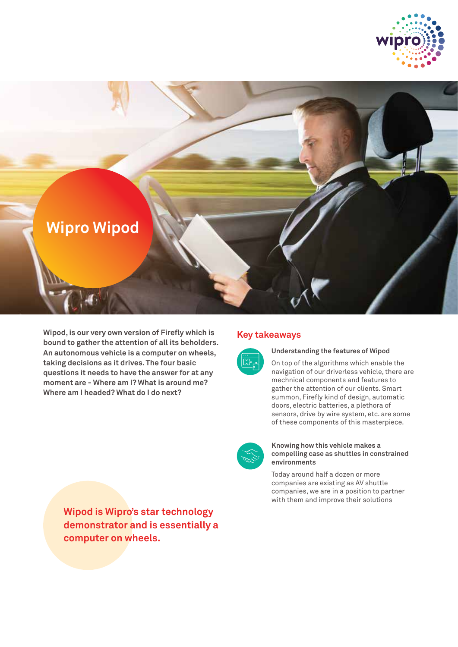



**Wipod, is our very own version of Firefly which is bound to gather the attention of all its beholders. An autonomous vehicle is a computer on wheels, taking decisions as it drives. The four basic questions it needs to have the answer for at any moment are - Where am I? What is around me? Where am I headed? What do I do next?**

# **Key takeaways**



**Understanding the features of Wipod**

On top of the algorithms which enable the navigation of our driverless vehicle, there are mechnical components and features to gather the attention of our clients. Smart summon, Firefly kind of design, automatic doors, electric batteries, a plethora of sensors, drive by wire system, etc. are some of these components of this masterpiece.



## **Knowing how this vehicle makes a compelling case as shuttles in constrained environments**

Today around half a dozen or more companies are existing as AV shuttle companies, we are in a position to partner with them and improve their solutions

**Wipod is Wipro's star technology demonstrator and is essentially a computer on wheels.**